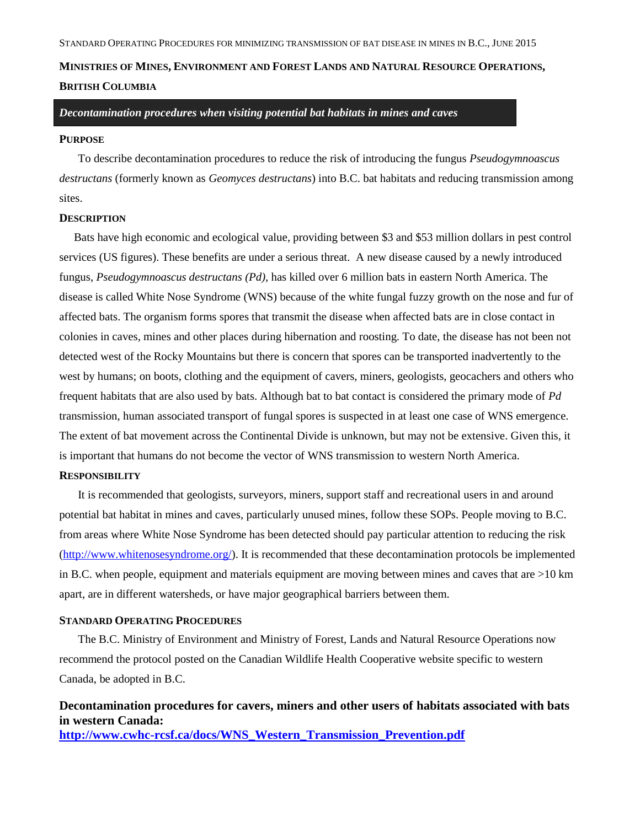# **MINISTRIES OF MINES, ENVIRONMENT AND FOREST LANDS AND NATURAL RESOURCE OPERATIONS, BRITISH COLUMBIA**

*Decontamination procedures when visiting potential bat habitats in mines and caves*

#### **PURPOSE**

To describe decontamination procedures to reduce the risk of introducing the fungus *Pseudogymnoascus destructans* (formerly known as *Geomyces destructans*) into B.C. bat habitats and reducing transmission among sites.

### **DESCRIPTION**

Bats have high economic and ecological value, providing between \$3 and \$53 million dollars in pest control services (US figures). These benefits are under a serious threat. A new disease caused by a newly introduced fungus, *Pseudogymnoascus destructans (Pd),* has killed over 6 million bats in eastern North America. The disease is called White Nose Syndrome (WNS) because of the white fungal fuzzy growth on the nose and fur of affected bats. The organism forms spores that transmit the disease when affected bats are in close contact in colonies in caves, mines and other places during hibernation and roosting. To date, the disease has not been not detected west of the Rocky Mountains but there is concern that spores can be transported inadvertently to the west by humans; on boots, clothing and the equipment of cavers, miners, geologists, geocachers and others who frequent habitats that are also used by bats. Although bat to bat contact is considered the primary mode of *Pd*  transmission, human associated transport of fungal spores is suspected in at least one case of WNS emergence. The extent of bat movement across the Continental Divide is unknown, but may not be extensive. Given this, it is important that humans do not become the vector of WNS transmission to western North America.

#### **RESPONSIBILITY**

It is recommended that geologists, surveyors, miners, support staff and recreational users in and around potential bat habitat in mines and caves, particularly unused mines, follow these SOPs. People moving to B.C. from areas where White Nose Syndrome has been detected should pay particular attention to reducing the risk [\(http://www.whitenosesyndrome.org/\)](http://www.whitenosesyndrome.org/). It is recommended that these decontamination protocols be implemented in B.C. when people, equipment and materials equipment are moving between mines and caves that are >10 km apart, are in different watersheds, or have major geographical barriers between them.

### **STANDARD OPERATING PROCEDURES**

The B.C. Ministry of Environment and Ministry of Forest, Lands and Natural Resource Operations now recommend the protocol posted on the Canadian Wildlife Health Cooperative website specific to western Canada, be adopted in B.C.

**Decontamination procedures for cavers, miners and other users of habitats associated with bats in western Canada: [http://www.cwhc-rcsf.ca/docs/WNS\\_Western\\_Transmission\\_Prevention.pdf](http://www.cwhc-rcsf.ca/docs/WNS_Western_Transmission_Prevention.pdf)**